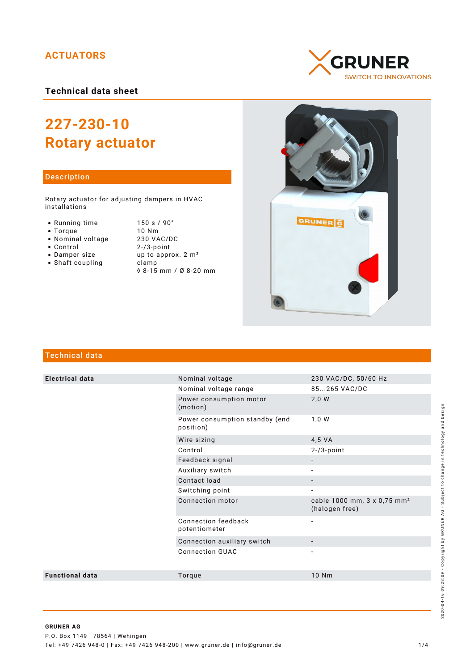## **ACTUATORS**

**Technical data sheet**

# **227-230-10 Rotary actuator**

#### Description

Rotary actuator for adjusting dampers in HVAC installations

- Running time
- $\bullet$  Torque
- Nominal voltage
- Control
- Damper size
- $\bullet$  Shaft coupling

| 150 s / 90°                    |
|--------------------------------|
| $10$ Nm                        |
| 230 VAC/DC                     |
| $2 - 3$ -point                 |
| up to approx. 2 m <sup>2</sup> |
| clamp                          |
| ◊ 8-15 mm / Ø 8-20 mm          |





## Technical data

| <b>Electrical data</b> | Nominal voltage                             | 230 VAC/DC, 50/60 Hz                                      |
|------------------------|---------------------------------------------|-----------------------------------------------------------|
|                        | Nominal voltage range                       | 85265 VAC/DC                                              |
|                        | Power consumption motor<br>(motion)         | 2,0 W                                                     |
|                        | Power consumption standby (end<br>position) | 1,0 W                                                     |
|                        | Wire sizing                                 | 4,5 VA                                                    |
|                        | Control                                     | $2 - 73$ -point                                           |
|                        | Feedback signal                             |                                                           |
|                        | Auxiliary switch                            |                                                           |
|                        | Contact load                                |                                                           |
|                        | Switching point                             | $\overline{\phantom{a}}$                                  |
|                        | Connection motor                            | cable 1000 mm, 3 x 0,75 mm <sup>2</sup><br>(halogen free) |
|                        | Connection feedback<br>potentiometer        | $\overline{\phantom{0}}$                                  |
|                        | Connection auxiliary switch                 |                                                           |
|                        | <b>Connection GUAC</b>                      |                                                           |
| <b>Functional data</b> | Torque                                      | 10 Nm                                                     |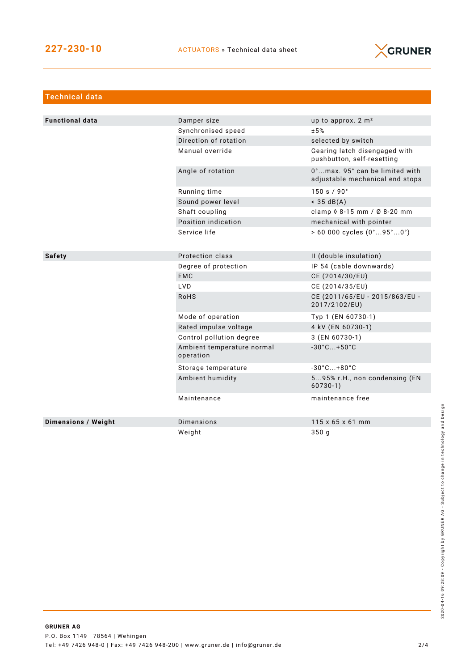

| <b>Technical data</b>  |                                         |                                                                   |  |  |
|------------------------|-----------------------------------------|-------------------------------------------------------------------|--|--|
|                        |                                         |                                                                   |  |  |
| <b>Functional data</b> | Damper size                             | up to approx. 2 m <sup>2</sup>                                    |  |  |
|                        | Synchronised speed                      | ±5%                                                               |  |  |
|                        | Direction of rotation                   | selected by switch                                                |  |  |
|                        | Manual override                         | Gearing latch disengaged with<br>pushbutton, self-resetting       |  |  |
|                        | Angle of rotation                       | 0°max. 95° can be limited with<br>adjustable mechanical end stops |  |  |
|                        | Running time                            | 150 s / 90°                                                       |  |  |
|                        | Sound power level                       | $<$ 35 dB(A)                                                      |  |  |
|                        | Shaft coupling                          | clamp $\Diamond$ 8-15 mm / Ø 8-20 mm                              |  |  |
|                        | Position indication                     | mechanical with pointer                                           |  |  |
|                        | Service life                            | $> 60000$ cycles $(0^{\circ}95^{\circ}0^{\circ})$                 |  |  |
|                        |                                         |                                                                   |  |  |
| <b>Safety</b>          | Protection class                        | II (double insulation)                                            |  |  |
|                        | Degree of protection                    | IP 54 (cable downwards)                                           |  |  |
|                        | <b>EMC</b>                              | CE (2014/30/EU)                                                   |  |  |
|                        | LVD                                     | CE (2014/35/EU)                                                   |  |  |
|                        | <b>RoHS</b>                             | CE (2011/65/EU - 2015/863/EU -<br>2017/2102/EU)                   |  |  |
|                        | Mode of operation                       | Typ 1 (EN 60730-1)                                                |  |  |
|                        | Rated impulse voltage                   | 4 kV (EN 60730-1)                                                 |  |  |
|                        | Control pollution degree                | 3 (EN 60730-1)                                                    |  |  |
|                        | Ambient temperature normal<br>operation | $-30^{\circ}$ C +50 $^{\circ}$ C                                  |  |  |
|                        | Storage temperature                     | $-30^{\circ}$ C +80 $^{\circ}$ C                                  |  |  |
|                        | Ambient humidity                        | 595% r.H., non condensing (EN<br>$60730-1)$                       |  |  |
|                        | Maintenance                             | maintenance free                                                  |  |  |
| Dimensions / Weight    | <b>Dimensions</b>                       | $115 \times 65 \times 61$ mm                                      |  |  |
|                        | Weight                                  | 350g                                                              |  |  |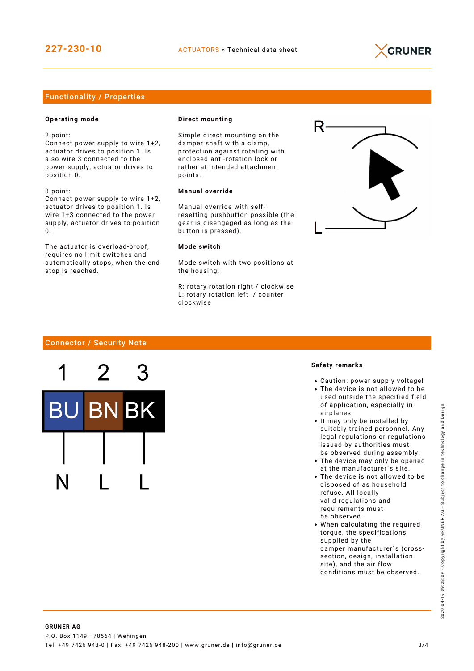

### Functionality / Properties

#### **Operating mode**

2 point:

Connect power supply to wire 1+2, actuator drives to position 1. Is also wire 3 connected to the power supply, actuator drives to position 0.

3 point: Connect power supply to wire 1+2, actuator drives to position 1. Is wire 1+3 connected to the power

supply, actuator drives to position  $\Omega$ 

The actuator is overload-proof, requires no limit switches and automatically stops, when the end stop is reached.

#### **Direct mounting**

Simple direct mounting on the damper shaft with a clamp, protection against rotating with enclosed anti-rotation lock or rather at intended attachment points.

#### **Manual override**

Manual override with selfresetting pushbutton possible (the gear is disengaged as long as the button is pressed).

#### **Mode switch**

Mode switch with two positions at the housing:

R: rotary rotation right / clockwise L: rotary rotation left / counter clockwise



#### Connector / Security Note



#### **Safety remarks**

- Caution: power supply voltage!
- The device is not allowed to be used outside the specified field of application, especially in airplanes.
- It may only be installed by suitably trained personnel. Any legal regulations or regulations issued by authorities must be observed during assembly.
- The device may only be opened at the manufacturer´s site.
- The device is not allowed to be disposed of as household refuse. All locally valid regulations and requirements must be observed.
- When calculating the required torque, the specifications supplied by the damper manufacturer´s (crosssection, design, installation site), and the air flow conditions must be observed.